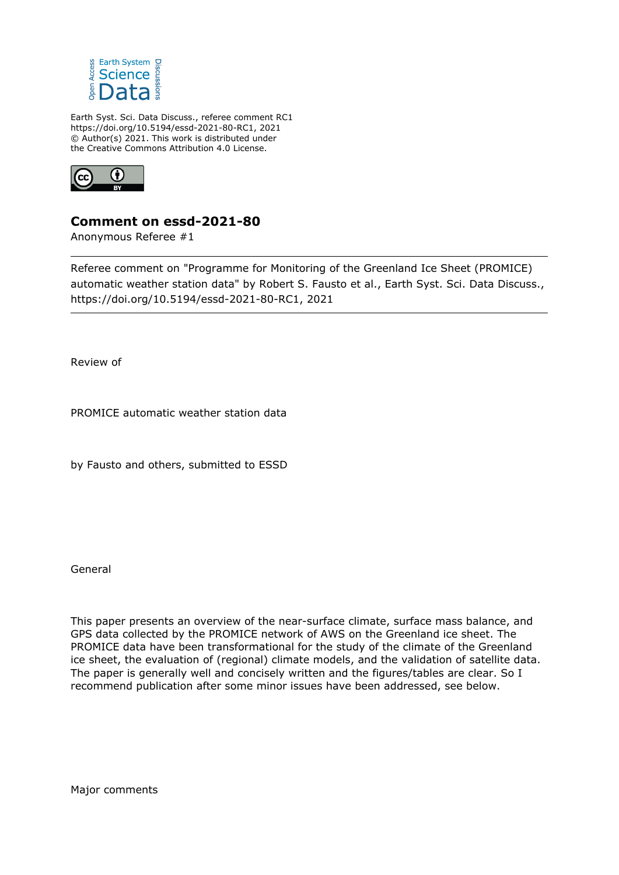

Earth Syst. Sci. Data Discuss., referee comment RC1 https://doi.org/10.5194/essd-2021-80-RC1, 2021 © Author(s) 2021. This work is distributed under the Creative Commons Attribution 4.0 License.



## **Comment on essd-2021-80**

Anonymous Referee #1

Referee comment on "Programme for Monitoring of the Greenland Ice Sheet (PROMICE) automatic weather station data" by Robert S. Fausto et al., Earth Syst. Sci. Data Discuss., https://doi.org/10.5194/essd-2021-80-RC1, 2021

Review of

PROMICE automatic weather station data

by Fausto and others, submitted to ESSD

General

This paper presents an overview of the near-surface climate, surface mass balance, and GPS data collected by the PROMICE network of AWS on the Greenland ice sheet. The PROMICE data have been transformational for the study of the climate of the Greenland ice sheet, the evaluation of (regional) climate models, and the validation of satellite data. The paper is generally well and concisely written and the figures/tables are clear. So I recommend publication after some minor issues have been addressed, see below.

Major comments